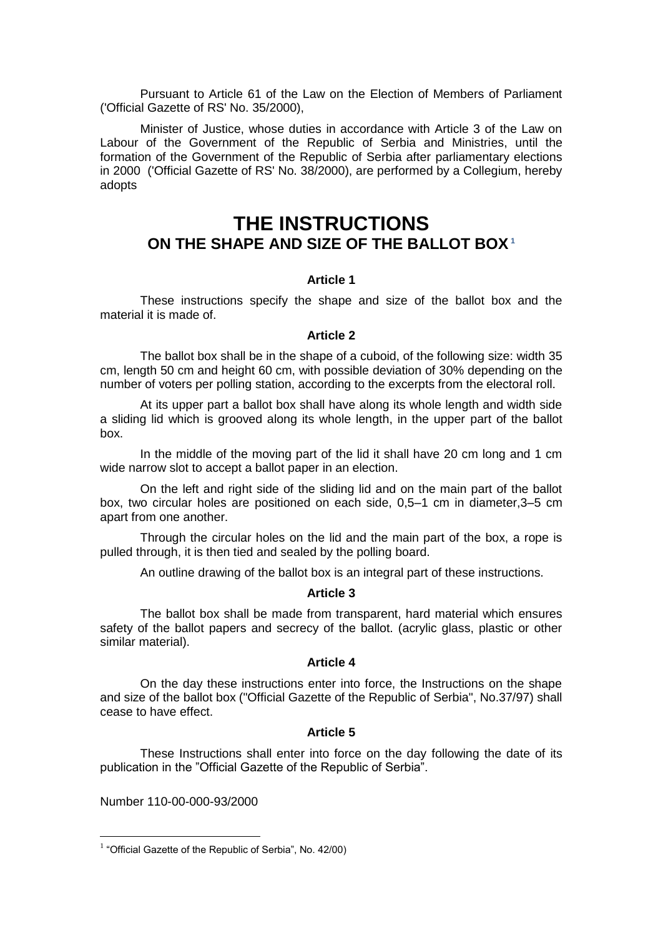Pursuant to Article 61 of the Law on the Election of Members of Parliament ('Official Gazette of RS' No. 35/2000),

Minister of Justice, whose duties in accordance with Article 3 of the Law on Labour of the Government of the Republic of Serbia and Ministries, until the formation of the Government of the Republic of Serbia after parliamentary elections in 2000 ('Official Gazette of RS' No. 38/2000), are performed by a Collegium, hereby adopts

# **THE INSTRUCTIONS ON THE SHAPE AND SIZE OF THE BALLOT BOX<sup>1</sup>**

## **Article 1**

These instructions specify the shape and size of the ballot box and the material it is made of.

### **Article 2**

The ballot box shall be in the shape of a cuboid, of the following size: width 35 cm, length 50 cm and height 60 cm, with possible deviation of 30% depending on the number of voters per polling station, according to the excerpts from the electoral roll.

At its upper part a ballot box shall have along its whole length and width side a sliding lid which is grooved along its whole length, in the upper part of the ballot box.

In the middle of the moving part of the lid it shall have 20 cm long and 1 cm wide narrow slot to accept a ballot paper in an election.

On the left and right side of the sliding lid and on the main part of the ballot box, two circular holes are positioned on each side, 0,5–1 cm in diameter,3–5 cm apart from one another.

Through the circular holes on the lid and the main part of the box, a rope is pulled through, it is then tied and sealed by the polling board.

An outline drawing of the ballot box is an integral part of these instructions.

#### **Article 3**

The ballot box shall be made from transparent, hard material which ensures safety of the ballot papers and secrecy of the ballot. (acrylic glass, plastic or other similar material).

### **Article 4**

On the day these instructions enter into force, the Instructions on the shape and size of the ballot box ("Official Gazette of the Republic of Serbia", No.37/97) shall cease to have effect.

## **Article 5**

These Instructions shall enter into force on the day following the date of its publication in the "Official Gazette of the Republic of Serbia".

Number 110-00-000-93/2000

1

<sup>&</sup>lt;sup>1</sup> "Official Gazette of the Republic of Serbia", No. 42/00)